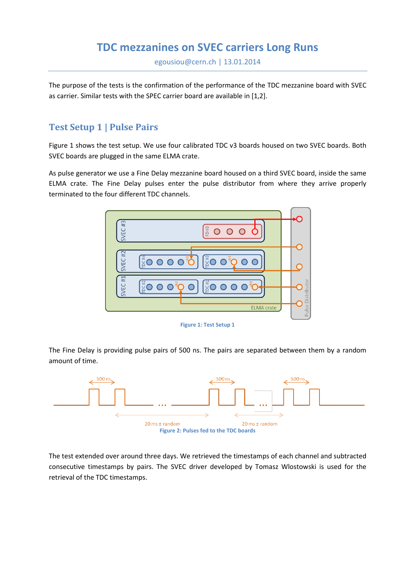## **TDC mezzanines on SVEC carriers Long Runs**

egousiou@cern.ch | 13.01.2014

The purpose of the tests is the confirmation of the performance of the TDC mezzanine board with SVEC as carrier. Similar tests with the SPEC carrier board are available in [1,2].

## **Test Setup 1 | Pulse Pairs**

Figure 1 shows the test setup. We use four calibrated TDC v3 boards housed on two SVEC boards. Both SVEC boards are plugged in the same ELMA crate.

As pulse generator we use a Fine Delay mezzanine board housed on a third SVEC board, inside the same ELMA crate. The Fine Delay pulses enter the pulse distributor from where they arrive properly terminated to the four different TDC channels.



**Figure 1: Test Setup 1**

The Fine Delay is providing pulse pairs of 500 ns. The pairs are separated between them by a random amount of time.



The test extended over around three days. We retrieved the timestamps of each channel and subtracted consecutive timestamps by pairs. The SVEC driver developed by Tomasz Wlostowski is used for the retrieval of the TDC timestamps.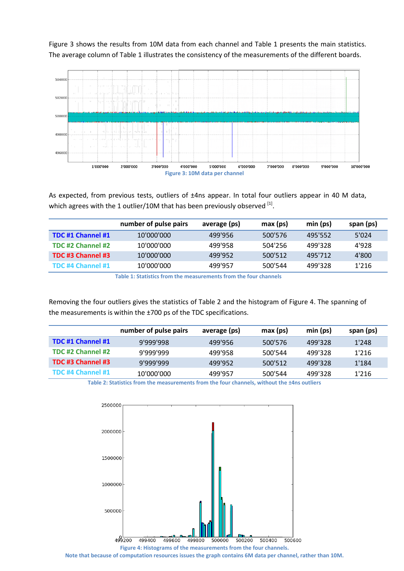Figure 3 shows the results from 10M data from each channel and Table 1 presents the main statistics. The average column of Table 1 illustrates the consistency of the measurements of the different boards.



As expected, from previous tests, outliers of ±4ns appear. In total four outliers appear in 40 M data, which agrees with the 1 outlier/10M that has been previously observed  $^{[1]}$ .

|                   | number of pulse pairs | average (ps) | max (ps) | min (ps) | span (ps) |
|-------------------|-----------------------|--------------|----------|----------|-----------|
| TDC #1 Channel #1 | 10'000'000            | 499'956      | 500'576  | 495'552  | 5'024     |
| TDC #2 Channel #2 | 10'000'000            | 499'958      | 504'256  | 499'328  | 4'928     |
| TDC #3 Channel #3 | 10'000'000            | 499'952      | 500'512  | 495'712  | 4'800     |
| TDC #4 Channel #1 | 10'000'000            | 499'957      | 500'544  | 499'328  | 1'216     |

**Table 1: Statistics from the measurements from the four channels**

Removing the four outliers gives the statistics of Table 2 and the histogram of Figure 4. The spanning of the measurements is within the ±700 ps of the TDC specifications.

|                   | number of pulse pairs | average (ps) | max (ps) | min (ps) | span (ps) |
|-------------------|-----------------------|--------------|----------|----------|-----------|
| TDC #1 Channel #1 | 9'999'998             | 499'956      | 500'576  | 499'328  | 1'248     |
| TDC #2 Channel #2 | 9'999'999             | 499'958      | 500'544  | 499'328  | 1'216     |
| TDC #3 Channel #3 | 9'999'999             | 499'952      | 500'512  | 499'328  | 1'184     |
| TDC #4 Channel #1 | 10'000'000            | 499'957      | 500'544  | 499'328  | 1'216     |

**Table 2: Statistics from the measurements from the four channels, without the ±4ns outliers**



**Note that because of computation resources issues the graph contains 6M data per channel, rather than 10M.**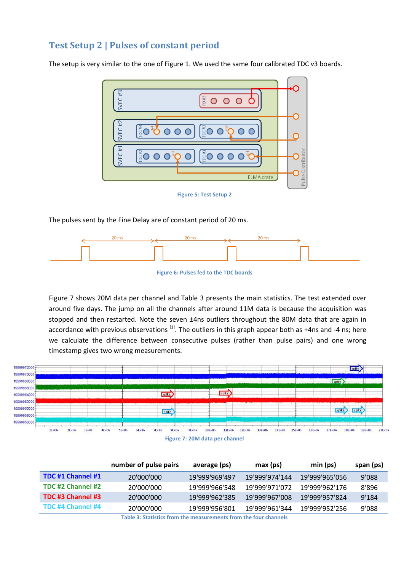## **Test Setup 2 | Pulses of constant period**

The setup is very similar to the one of Figure 1. We used the same four calibrated TDC v3 boards.



**Figure 5: Test Setup 2**

The pulses sent by the Fine Delay are of constant period of 20 ms.



**Figure 6: Pulses fed to the TDC boards**

Figure 7 shows 20M data per channel and Table 3 presents the main statistics. The test extended over around five days. The jump on all the channels after around 11M data is because the acquisition was stopped and then restarted. Note the seven ±4ns outliers throughout the 80M data that are again in accordance with previous observations  $^{[1]}$ . The outliers in this graph appear both as +4ns and -4 ns; here we calculate the difference between consecutive pulses (rather than pulse pairs) and one wrong timestamp gives two wrong measurements.



| number of pulse pairs | average (ps)   | max (ps)       | min (ps)       | span (ps) |
|-----------------------|----------------|----------------|----------------|-----------|
| 20'000'000            | 19'999'969'497 | 19'999'974'144 | 19'999'965'056 | 9'088     |
| 20'000'000            | 19'999'966'548 | 19'999'971'072 | 19'999'962'176 | 8'896     |
| 20'000'000            | 19'999'962'385 | 19'999'967'008 | 19'999'957'824 | 9'184     |
| 20'000'000            | 19'999'956'801 | 19'999'961'344 | 19'999'952'256 | 9'088     |
|                       |                |                |                |           |

**Table 3: Statistics from the measurements from the four channels**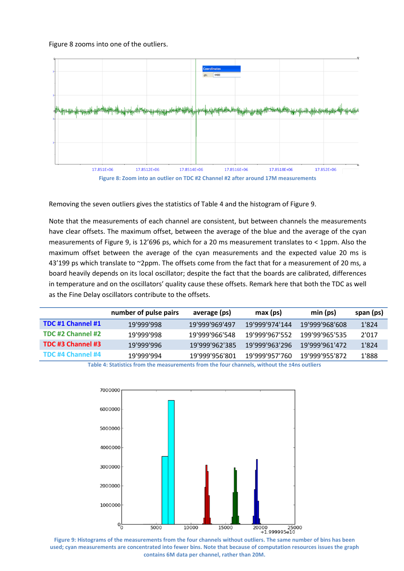Figure 8 zooms into one of the outliers.





Removing the seven outliers gives the statistics of Table 4 and the histogram of Figure 9.

Note that the measurements of each channel are consistent, but between channels the measurements have clear offsets. The maximum offset, between the average of the blue and the average of the cyan measurements of Figure 9, is 12'696 ps, which for a 20 ms measurement translates to < 1ppm. Also the maximum offset between the average of the cyan measurements and the expected value 20 ms is 43'199 ps which translate to ~2ppm. The offsets come from the fact that for a measurement of 20 ms, a board heavily depends on its local oscillator; despite the fact that the boards are calibrated, differences in temperature and on the oscillators' quality cause these offsets. Remark here that both the TDC as well as the Fine Delay oscillators contribute to the offsets.

|                   | number of pulse pairs | average (ps)   | max (ps)       | min (ps)       | span (ps) |
|-------------------|-----------------------|----------------|----------------|----------------|-----------|
| TDC #1 Channel #1 | 19'999'998            | 19'999'969'497 | 19'999'974'144 | 19'999'968'608 | 1'824     |
| TDC #2 Channel #2 | 19'999'998            | 19'999'966'548 | 19'999'967'552 | 199'99'965'535 | 2'017     |
| TDC #3 Channel #3 | 19'999'996            | 19'999'962'385 | 19'999'963'296 | 19'999'961'472 | 1'824     |
| TDC #4 Channel #4 | 19'999'994            | 19'999'956'801 | 19'999'957'760 | 19'999'955'872 | 1'888     |

**Table 4: Statistics from the measurements from the four channels, without the ±4ns outliers**



**Figure 9: Histograms of the measurements from the four channels without outliers. The same number of bins has been used; cyan measurements are concentrated into fewer bins. Note that because of computation resources issues the graph contains 6M data per channel, rather than 20M.**